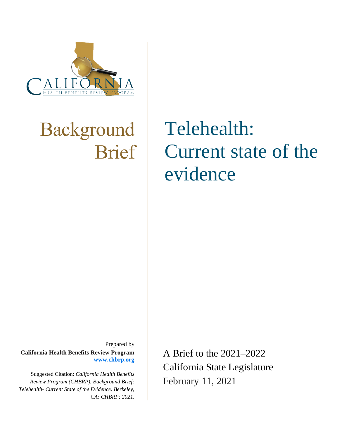

# Background Brief

# Telehealth: Current state of the evidence

Prepared by **California Health Benefits Review Program www.chbrp.org** 

Suggested Citation: *California Health Benefits Review Program (CHBRP). Background Brief: Telehealth- Current State of the Evidence. Berkeley, CA: CHBRP; 2021.* A Brief to the 2021–2022 California State Legislature February 11, 2021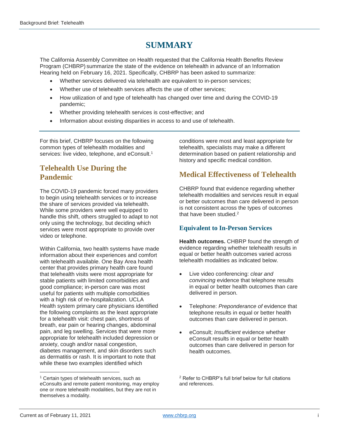# **SUMMARY**

The California Assembly Committee on Health requested that the California Health Benefits Review Program (CHBRP) summarize the state of the evidence on telehealth in advance of an Information Hearing held on February 16, 2021. Specifically, CHBRP has been asked to summarize:

- Whether services delivered via telehealth are equivalent to in-person services;
- Whether use of telehealth services affects the use of other services;
- How utilization of and type of telehealth has changed over time and during the COVID-19 pandemic;
- Whether providing telehealth services is cost-effective; and
- Information about existing disparities in access to and use of telehealth.

For this brief, CHBRP focuses on the following common types of telehealth modalities and services: live video, telephone, and eConsult.<sup>1</sup>

# **Telehealth Use During the Pandemic**

The COVID-19 pandemic forced many providers to begin using telehealth services or to increase the share of services provided via telehealth. While some providers were well equipped to handle this shift, others struggled to adapt to not only using the technology, but deciding which services were most appropriate to provide over video or telephone.

Within California, two health systems have made information about their experiences and comfort with telehealth available. One Bay Area health center that provides primary health care found that telehealth visits were most appropriate for stable patients with limited comorbidities and good compliance; in-person care was most useful for patients with multiple comorbidities with a high risk of re-hospitalization. UCLA Health system primary care physicians identified the following complaints as the least appropriate for a telehealth visit: chest pain, shortness of breath, ear pain or hearing changes, abdominal pain, and leg swelling. Services that were more appropriate for telehealth included depression or anxiety, cough and/or nasal congestion, diabetes management, and skin disorders such as dermatitis or rash. It is important to note that while these two examples identified which

conditions were most and least appropriate for telehealth, specialists may make a different determination based on patient relationship and history and specific medical condition.

# **Medical Effectiveness of Telehealth**

CHBRP found that evidence regarding whether telehealth modalities and services result in equal or better outcomes than care delivered in person is not consistent across the types of outcomes that have been studied. 2

### **Equivalent to In-Person Services**

**Health outcomes.** CHBRP found the strength of evidence regarding whether telehealth results in equal or better health outcomes varied across telehealth modalities as indicated below.

- Live video conferencing: *clear and convincing* evidence that telephone results in equal or better health outcomes than care delivered in person.
- Telephone: *Preponderance of* evidence that telephone results in equal or better health outcomes than care delivered in person.
- eConsult; *Insufficient* evidence whether eConsult results in equal or better health outcomes than care delivered in person for health outcomes.

<sup>&</sup>lt;sup>1</sup> Certain types of telehealth services, such as eConsults and remote patient monitoring, may employ one or more telehealth modalities, but they are not in themselves a modality.

<sup>2</sup> Refer to CHBRP's full brief below for full citations and references.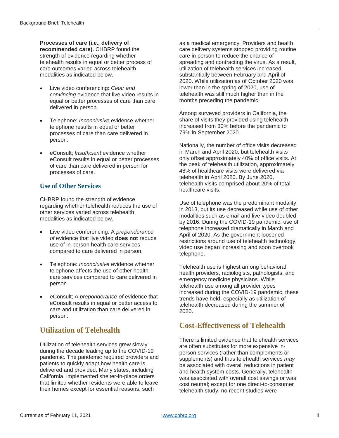**Processes of care (i.e., delivery of recommended care).** CHBRP found the strength of evidence regarding whether telehealth results in equal or better process of care outcomes varied across telehealth modalities as indicated below.

- Live video conferencing: *Clear and convincing* evidence that live video results in equal or better processes of care than care delivered in person.
- Telephone: *Inconclusive* evidence whether telephone results in equal or better processes of care than care delivered in person.
- eConsult; *Insufficient* evidence whether eConsult results in equal or better processes of care than care delivered in person for processes of care.

### **Use of Other Services**

CHBRP found the strength of evidence regarding whether telehealth reduces the use of other services varied across telehealth modalities as indicated below.

- Live video conferencing: A *preponderance of* evidence that live video **does not** reduce use of in-person health care services compared to care delivered in person.
- Telephone: *Inconclusive* evidence whether telephone affects the use of other health care services compared to care delivered in person.
- eConsult; A *preponderance of* evidence that eConsult results in equal or better access to care and utilization than care delivered in person.

# **Utilization of Telehealth**

Utilization of telehealth services grew slowly during the decade leading up to the COVID-19 pandemic. The pandemic required providers and patients to quickly adapt how health care is delivered and provided. Many states, including California, implemented shelter-in-place orders that limited whether residents were able to leave their homes except for essential reasons, such

as a medical emergency. Providers and health care delivery systems stopped providing routine care in person to reduce the chance of spreading and contracting the virus. As a result, utilization of telehealth services increased substantially between February and April of 2020. While utilization as of October 2020 was lower than in the spring of 2020, use of telehealth was still much higher than in the months preceding the pandemic.

Among surveyed providers in California, the share of visits they provided using telehealth increased from 30% before the pandemic to 79% in September 2020.

Nationally, the number of office visits decreased in March and April 2020, but telehealth visits only offset approximately 40% of office visits. At the peak of telehealth utilization, approximately 48% of healthcare visits were delivered via telehealth in April 2020. By June 2020, telehealth visits comprised about 20% of total healthcare visits.

Use of telephone was the predominant modality in 2013, but its use decreased while use of other modalities such as email and live video doubled by 2016. During the COVID-19 pandemic, use of telephone increased dramatically in March and April of 2020. As the government loosened restrictions around use of telehealth technology, video use began increasing and soon overtook telephone.

Telehealth use is highest among behavioral health providers, radiologists, pathologists, and emergency medicine physicians. While telehealth use among all provider types increased during the COVID-19 pandemic, these trends have held, especially as utilization of telehealth decreased during the summer of 2020.

## **Cost-Effectiveness of Telehealth**

There is limited evidence that telehealth services are often substitutes for more expensive inperson services (rather than complements or supplements) and thus telehealth services *may* be associated with overall reductions in patient and health system costs. Generally, telehealth was associated with overall cost savings or was cost neutral; except for one direct-to-consumer telehealth study, no recent studies were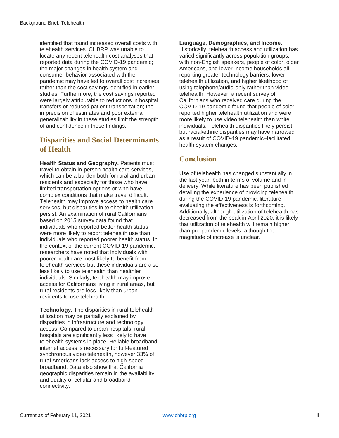identified that found increased overall costs with telehealth services. CHBRP was unable to locate any recent telehealth cost analyses that reported data during the COVID-19 pandemic; the major changes in health system and consumer behavior associated with the pandemic may have led to overall cost increases rather than the cost savings identified in earlier studies. Furthermore, the cost savings reported were largely attributable to reductions in hospital transfers or reduced patient transportation; the imprecision of estimates and poor external generalizability in these studies limit the strength of and confidence in these findings.

# **Disparities and Social Determinants of Health**

**Health Status and Geography.** Patients must travel to obtain in-person health care services, which can be a burden both for rural and urban residents and especially for those who have limited transportation options or who have complex conditions that make travel difficult. Telehealth may improve access to health care services, but disparities in telehealth utilization persist. An examination of rural Californians based on 2015 survey data found that individuals who reported better health status were more likely to report telehealth use than individuals who reported poorer health status. In the context of the current COVID-19 pandemic, researchers have noted that individuals with poorer health are most likely to benefit from telehealth services but these individuals are also less likely to use telehealth than healthier individuals. Similarly, telehealth may improve access for Californians living in rural areas, but rural residents are less likely than urban residents to use telehealth.

**Technology.** The disparities in rural telehealth utilization may be partially explained by disparities in infrastructure and technology access. Compared to urban hospitals, rural hospitals are significantly less likely to have telehealth systems in place. Reliable broadband internet access is necessary for full-featured synchronous video telehealth, however 33% of rural Americans lack access to high-speed broadband. Data also show that California geographic disparities remain in the availability and quality of cellular and broadband connectivity.

#### **Language, Demographics, and Income.**

Historically, telehealth access and utilization has varied significantly across population groups, with non-English speakers, people of color, older Americans, and lower-income households all reporting greater technology barriers, lower telehealth utilization, and higher likelihood of using telephone/audio-only rather than video telehealth. However, a recent survey of Californians who received care during the COVID-19 pandemic found that people of color reported higher telehealth utilization and were more likely to use video telehealth than white individuals. Telehealth disparities likely persist but racial/ethnic disparities may have narrowed as a result of COVID-19 pandemic–facilitated health system changes.

## **Conclusion**

Use of telehealth has changed substantially in the last year, both in terms of volume and in delivery. While literature has been published detailing the experience of providing telehealth during the COVID-19 pandemic, literature evaluating the effectiveness is forthcoming. Additionally, although utilization of telehealth has decreased from the peak in April 2020, it is likely that utilization of telehealth will remain higher than pre-pandemic levels, although the magnitude of increase is unclear.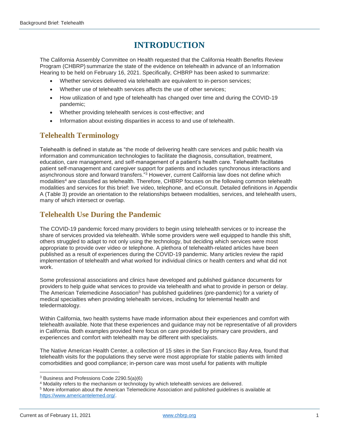# **INTRODUCTION**

The California Assembly Committee on Health requested that the California Health Benefits Review Program (CHBRP) summarize the state of the evidence on telehealth in advance of an Information Hearing to be held on February 16, 2021. Specifically, CHBRP has been asked to summarize:

- Whether services delivered via telehealth are equivalent to in-person services;
- Whether use of telehealth services affects the use of other services;
- How utilization of and type of telehealth has changed over time and during the COVID-19 pandemic;
- Whether providing telehealth services is cost-effective; and
- Information about existing disparities in access to and use of telehealth.

## **Telehealth Terminology**

Telehealth is defined in statute as "the mode of delivering health care services and public health via information and communication technologies to facilitate the diagnosis, consultation, treatment, education, care management, and self-management of a patient's health care. Telehealth facilitates patient self-management and caregiver support for patients and includes synchronous interactions and asynchronous store and forward transfers."<sup>3</sup> However, current California law does not define which modalities<sup>4</sup> are classified as telehealth. Therefore, CHBRP focuses on the following common telehealth modalities and services for this brief: live video, telephone, and eConsult. Detailed definitions in Appendix A (Table 3) provide an orientation to the relationships between modalities, services, and telehealth users, many of which intersect or overlap.

### **Telehealth Use During the Pandemic**

The COVID-19 pandemic forced many providers to begin using telehealth services or to increase the share of services provided via telehealth. While some providers were well equipped to handle this shift, others struggled to adapt to not only using the technology, but deciding which services were most appropriate to provide over video or telephone. A plethora of telehealth-related articles have been published as a result of experiences during the COVID-19 pandemic. Many articles review the rapid implementation of telehealth and what worked for individual clinics or health centers and what did not work.

Some professional associations and clinics have developed and published guidance documents for providers to help guide what services to provide via telehealth and what to provide in person or delay. The American Telemedicine Association<sup>5</sup> has published quidelines (pre-pandemic) for a variety of medical specialties when providing telehealth services, including for telemental health and teledermatology.

Within California, two health systems have made information about their experiences and comfort with telehealth available. Note that these experiences and guidance may not be representative of all providers in California. Both examples provided here focus on care provided by primary care providers, and experiences and comfort with telehealth may be different with specialists.

The Native American Health Center, a collection of 15 sites in the San Francisco Bay Area, found that telehealth visits for the populations they serve were most appropriate for stable patients with limited comorbidities and good compliance; in-person care was most useful for patients with multiple

<sup>3</sup> Business and Professions Code 2290.5(a)(6)

<sup>4</sup> Modality refers to the mechanism or technology by which telehealth services are delivered.

<sup>5</sup> More information about the American Telemedicine Association and published guidelines is available at [https://www.americantelemed.org/.](https://www.americantelemed.org/)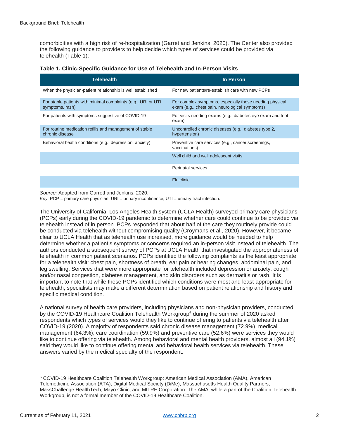comorbidities with a high risk of re-hospitalization (Garret and Jenkins, 2020). The Center also provided the following guidance to providers to help decide which types of services could be provided via telehealth (Table 1):

| Telehealth                                                                       | In Person                                                                                                 |
|----------------------------------------------------------------------------------|-----------------------------------------------------------------------------------------------------------|
| When the physician-patient relationship is well established                      | For new patients/re-establish care with new PCPs                                                          |
| For stable patients with minimal complaints (e.g., URI or UTI<br>symptoms, rash) | For complex symptoms, especially those needing physical<br>exam (e.g., chest pain, neurological symptoms) |
| For patients with symptoms suggestive of COVID-19                                | For visits needing exams (e.g., diabetes eye exam and foot<br>exam)                                       |
| For routine medication refills and management of stable<br>chronic disease       | Uncontrolled chronic diseases (e.g., diabetes type 2,<br>hypertension)                                    |
| Behavioral health conditions (e.g., depression, anxiety)                         | Preventive care services (e.g., cancer screenings,<br>vaccinations)                                       |
|                                                                                  | Well child and well adolescent visits                                                                     |
|                                                                                  | Perinatal services                                                                                        |
|                                                                                  | Flu clinic                                                                                                |

|  | Table 1. Clinic-Specific Guidance for Use of Telehealth and In-Person Visits |  |  |  |  |  |
|--|------------------------------------------------------------------------------|--|--|--|--|--|
|--|------------------------------------------------------------------------------|--|--|--|--|--|

*Source:* Adapted from Garrett and Jenkins, 2020.

*Key:* PCP = primary care physician; URI = urinary incontinence; UTI = urinary tract infection.

The University of California, Los Angeles Health system (UCLA Health) surveyed primary care physicians (PCPs) early during the COVID-19 pandemic to determine whether care could continue to be provided via telehealth instead of in person. PCPs responded that about half of the care they routinely provide could be conducted via telehealth without compromising quality (Croymans et al., 2020). However, it became clear to UCLA Health that as telehealth use increased, more guidance would be needed to help determine whether a patient's symptoms or concerns required an in-person visit instead of telehealth. The authors conducted a subsequent survey of PCPs at UCLA Health that investigated the appropriateness of telehealth in common patient scenarios. PCPs identified the following complaints as the least appropriate for a telehealth visit: chest pain, shortness of breath, ear pain or hearing changes, abdominal pain, and leg swelling. Services that were more appropriate for telehealth included depression or anxiety, cough and/or nasal congestion, diabetes management, and skin disorders such as dermatitis or rash. It is important to note that while these PCPs identified which conditions were most and least appropriate for telehealth, specialists may make a different determination based on patient relationship and history and specific medical condition.

A national survey of health care providers, including physicians and non-physician providers, conducted by the COVID-19 Healthcare Coalition Telehealth Workgroup<sup>6</sup> during the summer of 2020 asked respondents which types of services would they like to continue offering to patients via telehealth after COVID-19 (2020). A majority of respondents said chronic disease management (72.9%), medical management (64.3%), care coordination (59.9%) and preventive care (52.6%) were services they would like to continue offering via telehealth. Among behavioral and mental health providers, almost all (94.1%) said they would like to continue offering mental and behavioral health services via telehealth. These answers varied by the medical specialty of the respondent.

<sup>6</sup> COVID-19 Healthcare Coalition Telehealth Workgroup: American Medical Association (AMA), American Telemedicine Association (ATA), Digital Medical Society (DiMe), Massachusetts Health Quality Partners, MassChallenge HealthTech, Mayo Clinic, and MITRE Corporation. The AMA, while a part of the Coalition Telehealth Workgroup, is not a formal member of the COVID-19 Healthcare Coalition.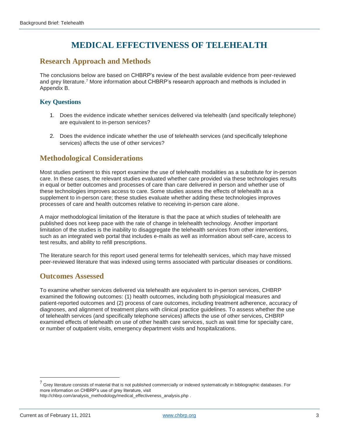# **MEDICAL EFFECTIVENESS OF TELEHEALTH**

### **Research Approach and Methods**

The conclusions below are based on CHBRP's review of the best available evidence from peer-reviewed and grey literature.<sup>7</sup> More information about CHBRP's research approach and methods is included in Appendix B.

#### **Key Questions**

- 1. Does the evidence indicate whether services delivered via telehealth (and specifically telephone) are equivalent to in-person services?
- 2. Does the evidence indicate whether the use of telehealth services (and specifically telephone services) affects the use of other services?

### **Methodological Considerations**

Most studies pertinent to this report examine the use of telehealth modalities as a substitute for in-person care. In these cases, the relevant studies evaluated whether care provided via these technologies results in equal or better outcomes and processes of care than care delivered in person and whether use of these technologies improves access to care. Some studies assess the effects of telehealth as a supplement to in-person care; these studies evaluate whether adding these technologies improves processes of care and health outcomes relative to receiving in-person care alone.

A major methodological limitation of the literature is that the pace at which studies of telehealth are published does not keep pace with the rate of change in telehealth technology. Another important limitation of the studies is the inability to disaggregate the telehealth services from other interventions, such as an integrated web portal that includes e-mails as well as information about self-care, access to test results, and ability to refill prescriptions.

The literature search for this report used general terms for telehealth services, which may have missed peer-reviewed literature that was indexed using terms associated with particular diseases or conditions.

### **Outcomes Assessed**

To examine whether services delivered via telehealth are equivalent to in-person services, CHBRP examined the following outcomes: (1) health outcomes, including both physiological measures and patient-reported outcomes and (2) process of care outcomes, including treatment adherence, accuracy of diagnoses, and alignment of treatment plans with clinical practice guidelines. To assess whether the use of telehealth services (and specifically telephone services) affects the use of other services, CHBRP examined effects of telehealth on use of other health care services, such as wait time for specialty care, or number of outpatient visits, emergency department visits and hospitalizations.

 $^7$  Grey literature consists of material that is not published commercially or indexed systematically in bibliographic databases. For more information on CHBRP's use of grey literature, visit [http://chbrp.com/analysis\\_methodology/medical\\_effectiveness\\_analysis.php](http://chbrp.com/analysis_methodology/medical_effectiveness_analysis.php) .

Current as of February 11, 2021 3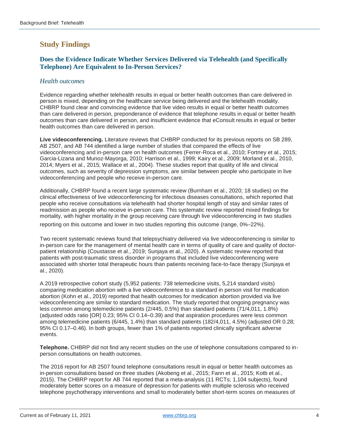# **Study Findings**

### **Does the Evidence Indicate Whether Services Delivered via Telehealth (and Specifically Telephone) Are Equivalent to In-Person Services?**

#### *Health outcomes*

Evidence regarding whether telehealth results in equal or better health outcomes than care delivered in person is mixed, depending on the healthcare service being delivered and the telehealth modality. CHBRP found clear and convincing evidence that live video results in equal or better health outcomes than care delivered in person, preponderance of evidence that telephone results in equal or better health outcomes than care delivered in person, and insufficient evidence that eConsult results in equal or better health outcomes than care delivered in person.

**Live videoconferencing.** Literature reviews that CHBRP conducted for its previous reports on SB 289, AB 2507, and AB 744 identified a large number of studies that compared the effects of live videoconferencing and in-person care on health outcomes (Ferrer-Roca et al., 2010; Fortney et al., 2015; Garcia-Lizana and Munoz-Mayorga, 2010; Harrison et al., 1999; Kairy et al., 2009; Morland et al., 2010, 2014; Myers et al., 2015; Wallace et al., 2004). These studies report that quality of life and clinical outcomes, such as severity of depression symptoms, are similar between people who participate in live videoconferencing and people who receive in-person care.

Additionally, CHBRP found a recent large systematic review (Burnham et al., 2020; 18 studies) on the clinical effectiveness of live videoconferencing for infectious diseases consultations, which reported that people who receive consultations via telehealth had shorter hospital length of stay and similar rates of readmission as people who receive in-person care. This systematic review reported mixed findings for mortality, with higher mortality in the group receiving care through live videoconferencing in two studies reporting on this outcome and lower in two studies reporting this outcome (range, 0%–22%).

Two recent systematic reviews found that telepsychiatry delivered via live videoconferencing is similar to in-person care for the management of mental health care in terms of quality of care and quality of doctorpatient relationship (Coustasse et al., 2019; Sunjaya et al., 2020). A systematic review reported that patients with post-traumatic stress disorder in programs that included live videoconferencing were associated with shorter total therapeutic hours than patients receiving face-to-face therapy (Sunjaya et al., 2020).

A 2019 retrospective cohort study (5,952 patients: 738 telemedicine visits, 5,214 standard visits) comparing medication abortion with a live videoconference to a standard in person visit for medication abortion (Kohn et al., 2019) reported that health outcomes for medication abortion provided via live videoconferencing are similar to standard medication. The study reported that ongoing pregnancy was less common among telemedicine patients (2/445, 0.5%) than standard patients (71/4,011, 1.8%) (adjusted odds ratio [OR] 0.23; 95% CI 0.14–0.39) and that aspiration procedures were less common among telemedicine patients (6/445, 1.4%) than standard patients (182/4,011, 4.5%) (adjusted OR 0.28; 95% CI 0.17–0.46). In both groups, fewer than 1% of patients reported clinically significant adverse events.

**Telephone.** CHBRP did not find any recent studies on the use of telephone consultations compared to inperson consultations on health outcomes.

The 2016 report for AB 2507 found telephone consultations result in equal or better health outcomes as in-person consultations based on three studies (Akobeng et al., 2015; Fann et al., 2015; Kotb et al., 2015). The CHBRP report for AB 744 reported that a meta-analysis (11 RCTs; 1,104 subjects), found moderately better scores on a measure of depression for patients with multiple sclerosis who received telephone psychotherapy interventions and small to moderately better short-term scores on measures of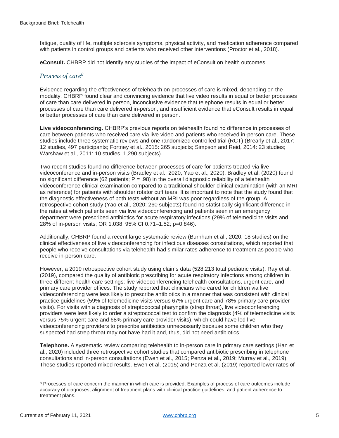fatigue, quality of life, multiple sclerosis symptoms, physical activity, and medication adherence compared with patients in control groups and patients who received other interventions (Proctor et al., 2018).

**eConsult.** CHBRP did not identify any studies of the impact of eConsult on health outcomes.

#### *Process of care<sup>8</sup>*

Evidence regarding the effectiveness of telehealth on processes of care is mixed, depending on the modality. CHBRP found clear and convincing evidence that live video results in equal or better processes of care than care delivered in person, inconclusive evidence that telephone results in equal or better processes of care than care delivered in-person, and insufficient evidence that eConsult results in equal or better processes of care than care delivered in person.

**Live videoconferencing.** CHBRP's previous reports on telehealth found no difference in processes of care between patients who received care via live video and patients who received in-person care. These studies include three systematic reviews and one randomized controlled trial (RCT) (Brearly et al., 2017: 12 studies, 497 participants; Fortney et al., 2015: 265 subjects; Simpson and Reid, 2014: 23 studies; Warshaw et al., 2011: 10 studies, 1,290 subjects).

Two recent studies found no difference between processes of care for patients treated via live videoconference and in-person visits (Bradley et al., 2020; Yao et al., 2020). Bradley et al. (2020) found no significant difference (62 patients;  $P = .98$ ) in the overall diagnostic reliability of a telehealth videoconference clinical examination compared to a traditional shoulder clinical examination (with an MRI as reference) for patients with shoulder rotator cuff tears. It is important to note that the study found that the diagnostic effectiveness of both tests without an MRI was poor regardless of the group. A retrospective cohort study (Yao et al., 2020; 260 subjects) found no statistically significant difference in the rates at which patients seen via live videoconferencing and patients seen in an emergency department were prescribed antibiotics for acute respiratory infections (29% of telemedicine visits and 28% of in-person visits; OR 1.038; 95% CI 0.71–1.52; p=0.846).

Additionally, CHBRP found a recent large systematic review (Burnham et al., 2020; 18 studies) on the clinical effectiveness of live videoconferencing for infectious diseases consultations, which reported that people who receive consultations via telehealth had similar rates adherence to treatment as people who receive in-person care.

However, a 2019 retrospective cohort study using claims data (528,213 total pediatric visits), Ray et al. (2019), compared the quality of antibiotic prescribing for acute respiratory infections among children in three different health care settings: live videoconferencing telehealth consultations, urgent care, and primary care provider offices. The study reported that clinicians who cared for children via live videoconferencing were less likely to prescribe antibiotics in a manner that was consistent with clinical practice guidelines (59% of telemedicine visits versus 67% urgent care and 78% primary care provider visits). For visits with a diagnosis of streptococcal pharyngitis (strep throat), live videoconferencing providers were less likely to order a streptococcal test to confirm the diagnosis (4% of telemedicine visits versus 75% urgent care and 68% primary care provider visits), which could have led live videoconferencing providers to prescribe antibiotics unnecessarily because some children who they suspected had strep throat may not have had it and, thus, did not need antibiotics.

**Telephone.** A systematic review comparing telehealth to in-person care in primary care settings (Han et al., 2020) included three retrospective cohort studies that compared antibiotic prescribing in telephone consultations and in-person consultations (Ewen et al., 2015; Penza et al., 2019; Murray et al., 2019). These studies reported mixed results. Ewen et al. (2015) and Penza et al. (2019) reported lower rates of

<sup>&</sup>lt;sup>8</sup> Processes of care concern the manner in which care is provided. Examples of process of care outcomes include accuracy of diagnoses, alignment of treatment plans with clinical practice guidelines, and patient adherence to treatment plans.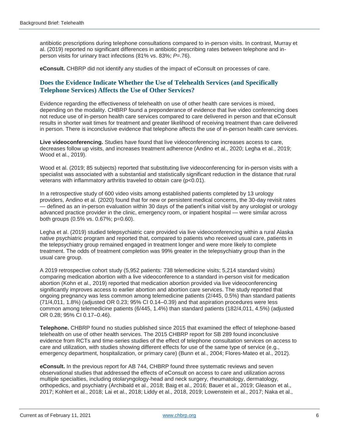antibiotic prescriptions during telephone consultations compared to in-person visits. In contrast, Murray et al. (2019) reported no significant differences in antibiotic prescribing rates between telephone and inperson visits for [urinary](https://ucsfonline-my.sharepoint.com/personal/margaret_fix_ucsf_edu/Documents/Partywise%20Bivariate%20models.docx?web=1) tract infections (81% vs. 83%; *P*=.76).

**eConsult.** CHBRP did not identify any studies of the impact of eConsult on processes of care.

#### **Does the Evidence Indicate Whether the Use of Telehealth Services (and Specifically Telephone Services) Affects the Use of Other Services?**

Evidence regarding the effectiveness of telehealth on use of other health care services is mixed, depending on the modality. CHBRP found a preponderance of evidence that live video conferencing does not reduce use of in-person health care services compared to care delivered in person and that eConsult results in shorter wait times for treatment and greater likelihood of receiving treatment than care delivered in person. There is inconclusive evidence that telephone affects the use of in-person health care services.

**Live videoconferencing.** Studies have found that live videoconferencing increases access to care, decreases follow up visits, and increases treatment adherence (Andino et al., 2020; Legha et al., 2019; Wood et al., 2019).

Wood et al. (2019; 85 subjects) reported that substituting live videoconferencing for in-person visits with a specialist was associated with a substantial and statistically significant reduction in the distance that rural veterans with inflammatory arthritis traveled to obtain care (p<0.01).

In a retrospective study of 600 video visits among established patients completed by 13 urology providers, Andino et al. (2020) found that for new or persistent medical concerns, the 30-day revisit rates — defined as an in-person evaluation within 30 days of the patient's initial visit by any urologist or urology advanced practice provider in the clinic, emergency room, or inpatient hospital — were similar across both groups (0.5% vs. 0.67%; p=0.60).

Legha et al. (2019) studied telepsychiatric care provided via live videoconferencing within a rural Alaska native psychiatric program and reported that, compared to patients who received usual care, patients in the telepsychiatry group remained engaged in treatment longer and were more likely to complete treatment. The odds of treatment completion was 99% greater in the telepsychiatry group than in the usual care group.

A 2019 retrospective cohort study (5,952 patients: 738 telemedicine visits; 5,214 standard visits) comparing medication abortion with a live videoconference to a standard in-person visit for medication abortion (Kohn et al., 2019) reported that medication abortion provided via live videoconferencing significantly improves access to earlier abortion and abortion care services. The study reported that ongoing pregnancy was less common among telemedicine patients (2/445, 0.5%) than standard patients (71/4,011, 1.8%) (adjusted OR 0.23; 95% CI 0.14–0.39) and that aspiration procedures were less common among telemedicine patients (6/445, 1.4%) than standard patients (182/4,011, 4.5%) (adjusted OR 0.28; 95% CI 0.17–0.46).

**Telephone.** CHBRP found no studies published since 2015 that examined the effect of telephone-based telehealth on use of other health services. The 2015 CHBRP report for SB 289 found inconclusive evidence from RCTs and time-series studies of the effect of telephone consultation services on access to care and utilization, with studies showing different effects for use of the same type of service (e.g., emergency department, hospitalization, or primary care) (Bunn et al., 2004; Flores-Mateo et al., 2012).

**eConsult.** In the previous report for AB 744, CHBRP found three systematic reviews and seven observational studies that addressed the effects of eConsult on access to care and utilization across multiple specialties, including otolaryngology-head and neck surgery, rheumatology, dermatology, orthopedics, and psychiatry (Archibald et al., 2018; Baig et al., 2016; Bauer et al., 2019; Gleason et al., 2017; Kohlert et al., 2018; Lai et al., 2018; Liddy et al., 2018, 2019; Lowenstein et al., 2017; Naka et al.,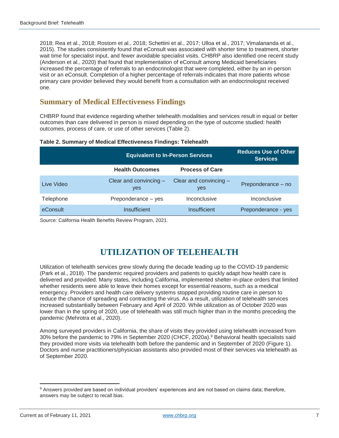2018; Rea et al., 2018; Rostom et al., 2018; Schettini et al., 2017; Ulloa et al., 2017; Vimalananda et al., 2015). The studies consistently found that eConsult was associated with shorter time to treatment, shorter wait time for specialist input, and fewer avoidable specialist visits. CHBRP also identified one recent study (Anderson et al., 2020) that found that implementation of eConsult among Medicaid beneficiaries increased the percentage of referrals to an endocrinologist that were completed, either by an in-person visit or an eConsult. Completion of a higher percentage of referrals indicates that more patients whose primary care provider believed they would benefit from a consultation with an endocrinologist received one.

### **Summary of Medical Effectiveness Findings**

CHBRP found that evidence regarding whether telehealth modalities and services result in equal or better outcomes than care delivered in person is mixed depending on the type of outcome studied: health outcomes, process of care, or use of other services (Table 2).

| Table 2. Summary of Medical Effectiveness Findings: Telehealth |  |  |
|----------------------------------------------------------------|--|--|
|                                                                |  |  |

|            | <b>Equivalent to In-Person Services</b> | <b>Reduces Use of Other</b><br><b>Services</b> |                     |
|------------|-----------------------------------------|------------------------------------------------|---------------------|
|            | <b>Health Outcomes</b>                  | <b>Process of Care</b>                         |                     |
| Live Video | Clear and convincing -<br>yes           | Clear and convincing -<br>yes                  | Preponderance - no  |
| Telephone  | Preponderance - yes                     | Inconclusive                                   | Inconclusive        |
| eConsult   | Insufficient                            | Insufficient                                   | Preponderance - yes |

*Source:* California Health Benefits Review Program, 2021.

# **UTILIZATION OF TELEHEALTH**

Utilization of telehealth services grew slowly during the decade leading up to the COVID-19 pandemic (Park et al., 2018). The pandemic required providers and patients to quickly adapt how health care is delivered and provided. Many states, including California, implemented shelter-in-place orders that limited whether residents were able to leave their homes except for essential reasons, such as a medical emergency. Providers and health care delivery systems stopped providing routine care in person to reduce the chance of spreading and contracting the virus. As a result, utilization of telehealth services increased substantially between February and April of 2020. While utilization as of October 2020 was lower than in the spring of 2020, use of telehealth was still much higher than in the months preceding the pandemic (Mehrotra et al., 2020).

Among surveyed providers in California, the share of visits they provided using telehealth increased from 30% before the pandemic to 79% in September 2020 (CHCF, 2020a).<sup>9</sup> Behavioral health specialists said they provided more visits via telehealth both before the pandemic and in September of 2020 (Figure 1). Doctors and nurse practitioners/physician assistants also provided most of their services via telehealth as of September 2020.

<sup>9</sup> Answers provided are based on individual providers' experiences and are not based on claims data; therefore, answers may be subject to recall bias.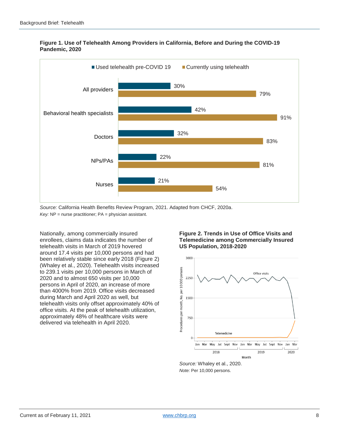

#### **Figure 1. Use of Telehealth Among Providers in California, Before and During the COVID-19 Pandemic, 2020**

*Source:* California Health Benefits Review Program, 2021. Adapted from CHCF, 2020a. *Key:* NP = nurse practitioner; PA = physician assistant.

Nationally, among commercially insured enrollees, claims data indicates the number of telehealth visits in March of 2019 hovered around 17.4 visits per 10,000 persons and had been relatively stable since early 2018 (Figure 2) (Whaley et al., 2020). Telehealth visits increased to 239.1 visits per 10,000 persons in March of 2020 and to almost 650 visits per 10,000 persons in April of 2020, an increase of more than 4000% from 2019. Office visits decreased during March and April 2020 as well, but telehealth visits only offset approximately 40% of office visits. At the peak of telehealth utilization, approximately 48% of healthcare visits were delivered via telehealth in April 2020.

#### **Figure 2. Trends in Use of Office Visits and Telemedicine among Commercially Insured US Population, 2018-2020**



*Note:* Per 10,000 persons.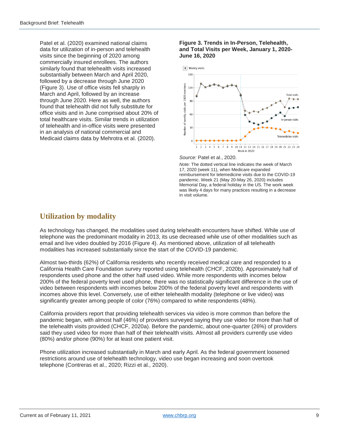Patel et al. (2020) examined national claims data for utilization of in-person and telehealth visits since the beginning of 2020 among commercially insured enrollees. The authors similarly found that telehealth visits increased substantially between March and April 2020, followed by a decrease through June 2020 (Figure 3). Use of office visits fell sharply in March and April, followed by an increase through June 2020. Here as well, the authors found that telehealth did not fully substitute for office visits and in June comprised about 20% of total healthcare visits. Similar trends in utilization of telehealth and in-office visits were presented in an analysis of national commercial and Medicaid claims data by Mehrotra et al. (2020).

#### **Figure 3. Trends in In-Person, Telehealth, and Total Visits per Week, January 1, 2020- June 16, 2020**



#### *Source:* Patel et al., 2020.

*Note:* The dotted vertical line indicates the week of March 17, 2020 (week 11), when Medicare expanded reimbursement for telemedicine visits due to the COVID-19 pandemic. Week 21 (May 20-May 26, 2020) includes Memorial Day, a federal holiday in the US. The work week was likely 4 days for many practices resulting in a decrease in visit volume.

# **Utilization by modality**

As technology has changed, the modalities used during telehealth encounters have shifted. While use of telephone was the predominant modality in 2013, its use decreased while use of other modalities such as email and live video doubled by 2016 (Figure 4). As mentioned above, utilization of all telehealth modalities has increased substantially since the start of the COVID-19 pandemic.

Almost two-thirds (62%) of California residents who recently received medical care and responded to a California Health Care Foundation survey reported using telehealth (CHCF, 2020b). Approximately half of respondents used phone and the other half used video. While more respondents with incomes below 200% of the federal poverty level used phone, there was no statistically significant difference in the use of video between respondents with incomes below 200% of the federal poverty level and respondents with incomes above this level. Conversely, use of either telehealth modality (telephone or live video) was significantly greater among people of color (76%) compared to white respondents (48%).

California providers report that providing telehealth services via video is more common than before the pandemic began, with almost half (46%) of providers surveyed saying they use video for more than half of the telehealth visits provided (CHCF, 2020a). Before the pandemic, about one-quarter (26%) of providers said they used video for more than half of their telehealth visits. Almost all providers currently use video (80%) and/or phone (90%) for at least one patient visit.

Phone utilization increased substantially in March and early April. As the federal government loosened restrictions around use of telehealth technology, video use began increasing and soon overtook telephone (Contreras et al., 2020; Rizzi et al., 2020).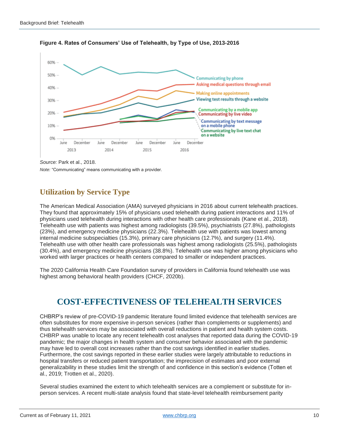

**Figure 4. Rates of Consumers' Use of Telehealth, by Type of Use, 2013-2016**

*Source:* Park et al., 2018.

*Note:* "Communicating" means communicating with a provider.

# **Utilization by Service Type**

The American Medical Association (AMA) surveyed physicians in 2016 about current telehealth practices. They found that approximately 15% of physicians used telehealth during patient interactions and 11% of physicians used telehealth during interactions with other health care professionals (Kane et al., 2018). Telehealth use with patients was highest among radiologists (39.5%), psychiatrists (27.8%), pathologists (23%), and emergency medicine physicians (22.3%). Telehealth use with patients was lowest among internal medicine subspecialties (15.3%), primary care physicians (12.7%), and surgery (11.4%). Telehealth use with other health care professionals was highest among radiologists (25.5%), pathologists (30.4%), and emergency medicine physicians (38.8%). Telehealth use was higher among physicians who worked with larger practices or health centers compared to smaller or independent practices.

The 2020 California Health Care Foundation survey of providers in California found telehealth use was highest among behavioral health providers (CHCF, 2020b).

# **COST-EFFECTIVENESS OF TELEHEALTH SERVICES**

CHBRP's review of pre-COVID-19 pandemic literature found limited evidence that telehealth services are often substitutes for more expensive in-person services (rather than complements or supplements) and thus telehealth services may be associated with overall reductions in patient and health system costs. CHBRP was unable to locate any recent telehealth cost analyses that reported data during the COVID-19 pandemic; the major changes in health system and consumer behavior associated with the pandemic may have led to overall cost increases rather than the cost savings identified in earlier studies. Furthermore, the cost savings reported in these earlier studies were largely attributable to reductions in hospital transfers or reduced patient transportation; the imprecision of estimates and poor external generalizability in these studies limit the strength of and confidence in this section's evidence (Totten et al., 2019; Trotten et al., 2020).

Several studies examined the extent to which telehealth services are a complement or substitute for inperson services. A recent multi-state analysis found that state-level telehealth reimbursement parity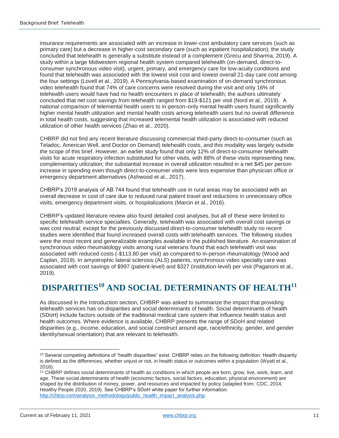insurance requirements are associated with an increase in lower-cost ambulatory care services (such as primary care) but a decrease in higher-cost secondary care (such as inpatient hospitalization); the study concluded that telehealth is generally a substitute instead of a complement (Grecu and Sharma, 2019). A study within a large Midwestern regional health system compared telehealth (on-demand, direct-toconsumer synchronous video visit), urgent, primary, and emergency care for low-acuity conditions and found that telehealth was associated with the lowest visit cost and lowest overall 21-day care cost among the four settings (Lovell et al., 2019). A Pennsylvania-based examination of on-demand synchronous video telehealth found that 74% of care concerns were resolved during the visit and only 16% of telehealth users would have had no health encounters in place of telehealth; the authors ultimately concluded that net cost savings from telehealth ranged from \$19-\$121 per visit (Nord et al., 2019). A national comparison of telemental health users to in-person–only mental health users found significantly higher mental health utilization and mental health costs among telehealth users but no overall difference in total health costs, suggesting that increased telemental health utilization is associated with reduced utilization of other health services (Zhao et al., 2020).

CHBRP did not find any recent literature discussing commercial third-party direct-to-consumer (such as Teladoc, American Well, and Doctor on Demand) telehealth costs, and this modality was largely outside the scope of this brief. However, an earlier study found that only 12% of direct-to-consumer telehealth visits for acute respiratory infection substituted for other visits, with 88% of these visits representing new, complementary utilization; the substantial increase in overall utilization resulted in a net \$45 per person increase in spending even though direct-to-consumer visits were less expensive than physician office or emergency department alternatives (Ashwood et al., 2017).

CHBRP's 2019 analysis of AB 744 found that telehealth use in rural areas may be associated with an overall decrease in cost of care due to reduced rural patient travel and reductions in unnecessary office visits, emergency department visits, or hospitalizations (Marcin et al., 2016).

CHBRP's updated literature review also found detailed cost analyses, but all of these were limited to specific telehealth service specialties. Generally, telehealth was associated with overall cost savings or was cost neutral; except for the previously discussed direct-to-consumer telehealth study no recent studies were identified that found increased overall costs with telehealth services. The following studies were the most recent and generalizable examples available in the published literature. An examination of synchronous video rheumatology visits among rural veterans found that each telehealth visit was associated with reduced costs (-\$113.80 per visit) as compared to in-person rheumatology (Wood and Caplan, 2019). In amyotrophic lateral sclerosis (ALS) patients, synchronous video specialty care was associated with cost savings of \$997 (patient-level) and \$327 (institution-level) per visit (Paganoni et al., 2019).

# **DISPARITIES<sup>10</sup> AND SOCIAL DETERMINANTS OF HEALTH<sup>11</sup>**

As discussed in the Introduction section, CHBRP was asked to summarize the impact that providing telehealth services has on disparities and social determinants of health. Social determinants of health (SDoH) include factors outside of the traditional medical care system that influence health status and health outcomes. Where evidence is available, CHBRP presents the range of SDoH and related disparities (e.g., income, education, and social construct around age, race/ethnicity, gender, and gender identity/sexual orientation) that are relevant to telehealth.

 $10$  Several competing definitions of "health disparities" exist. CHBRP relies on the following definition: Health disparity is defined as the differences, whether unjust or not, in health status or outcomes within a population (Wyatt et al., 2016).

<sup>11</sup> CHBRP defines social determinants of health as conditions in which people are born, grow, live, work, learn, and age. These social determinants of health (economic factors, social factors, education, physical environment) are shaped by the distribution of money, power, and resources and impacted by policy (adapted from: CDC, 2014; Healthy People 2020, 2019). See CHBRP's SDoH white paper for further information: [http://chbrp.com/analysis\\_methodology/public\\_health\\_impact\\_analysis.php.](http://chbrp.com/analysis_methodology/public_health_impact_analysis.php)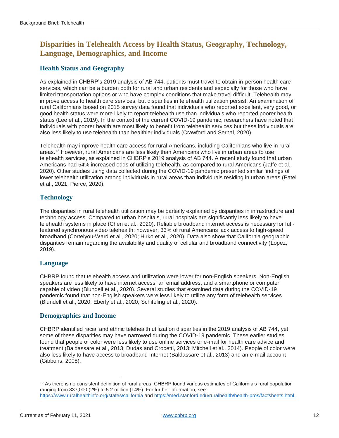# **Disparities in Telehealth Access by Health Status, Geography, Technology, Language, Demographics, and Income**

### **Health Status and Geography**

As explained in CHBRP's 2019 analysis of AB 744, patients must travel to obtain in-person health care services, which can be a burden both for rural and urban residents and especially for those who have limited transportation options or who have complex conditions that make travel difficult. Telehealth may improve access to health care services, but disparities in telehealth utilization persist. An examination of rural Californians based on 2015 survey data found that individuals who reported excellent, very good, or good health status were more likely to report telehealth use than individuals who reported poorer health status (Lee et al., 2019). In the context of the current COVID-19 pandemic, researchers have noted that individuals with poorer health are most likely to benefit from telehealth services but these individuals are also less likely to use telehealth than healthier individuals (Crawford and Serhal, 2020).

Telehealth may improve health care access for rural Americans, including Californians who live in rural areas. <sup>12</sup> However, rural Americans are less likely than Americans who live in urban areas to use telehealth services, as explained in CHBRP's 2019 analysis of AB 744. A recent study found that urban Americans had 54% increased odds of utilizing telehealth, as compared to rural Americans (Jaffe et al., 2020). Other studies using data collected during the COVID-19 pandemic presented similar findings of lower telehealth utilization among individuals in rural areas than individuals residing in urban areas (Patel et al., 2021; Pierce, 2020).

### **Technology**

The disparities in rural telehealth utilization may be partially explained by disparities in infrastructure and technology access. Compared to urban hospitals, rural hospitals are significantly less likely to have telehealth systems in place (Chen et al., 2020). Reliable broadband internet access is necessary for fullfeatured synchronous video telehealth; however, 33% of rural Americans lack access to high-speed broadband (Cortelyou-Ward et al., 2020; Hirko et al., 2020). Data also show that California geographic disparities remain regarding the availability and quality of cellular and broadband connectivity (Lopez, 2019).

#### **Language**

CHBRP found that telehealth access and utilization were lower for non-English speakers. Non-English speakers are less likely to have internet access, an email address, and a smartphone or computer capable of video (Blundell et al., 2020). Several studies that examined data during the COVID-19 pandemic found that non-English speakers were less likely to utilize any form of telehealth services (Blundell et al., 2020; Eberly et al., 2020; Schifeling et al., 2020).

#### **Demographics and Income**

CHBRP identified racial and ethnic telehealth utilization disparities in the 2019 analysis of AB 744, yet some of these disparities may have narrowed during the COVID-19 pandemic. These earlier studies found that people of color were less likely to use online services or e-mail for health care advice and treatment (Baldassare et al., 2013; Dudas and Crocetti, 2013; Mitchell et al., 2014). People of color were also less likely to have access to broadband Internet (Baldassare et al., 2013) and an e-mail account (Gibbons, 2008).

 $12$  As there is no consistent definition of rural areas, CHBRP found various estimates of California's rural population ranging from 837,000 (2%) to 5.2 million (14%). For further information, see: <https://www.ruralhealthinfo.org/states/california> an[d https://med.stanford.edu/ruralhealth/health-pros/factsheets.html.](https://med.stanford.edu/ruralhealth/health-pros/factsheets.html)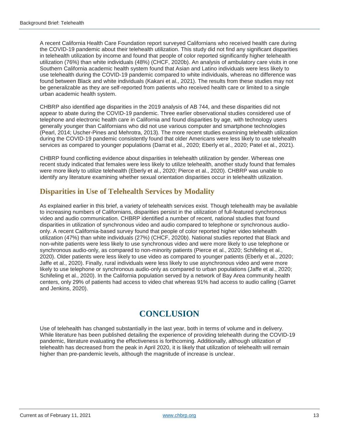A recent California Health Care Foundation report surveyed Californians who received health care during the COVID-19 pandemic about their telehealth utilization. This study did not find any significant disparities in telehealth utilization by income and found that people of color reported significantly higher telehealth utilization (76%) than white individuals (48%) (CHCF, 2020b). An analysis of ambulatory care visits in one Southern California academic health system found that Asian and Latino individuals were less likely to use telehealth during the COVID-19 pandemic compared to white individuals, whereas no difference was found between Black and white individuals (Kakani et al., 2021). The results from these studies may not be generalizable as they are self-reported from patients who received health care or limited to a single urban academic health system.

CHBRP also identified age disparities in the 2019 analysis of AB 744, and these disparities did not appear to abate during the COVID-19 pandemic. Three earlier observational studies considered use of telephone and electronic health care in California and found disparities by age, with technology users generally younger than Californians who did not use various computer and smartphone technologies (Pearl, 2014; Uscher-Pines and Mehrotra, 2013). The more recent studies examining telehealth utilization during the COVID-19 pandemic consistently found that older Americans were less likely to use telehealth services as compared to younger populations (Darrat et al., 2020; Eberly et al., 2020; Patel et al., 2021).

CHBRP found conflicting evidence about disparities in telehealth utilization by gender. Whereas one recent study indicated that females were less likely to utilize telehealth, another study found that females were more likely to utilize telehealth (Eberly et al., 2020; Pierce et al., 2020). CHBRP was unable to identify any literature examining whether sexual orientation disparities occur in telehealth utilization.

## **Disparities in Use of Telehealth Services by Modality**

As explained earlier in this brief, a variety of telehealth services exist. Though telehealth may be available to increasing numbers of Californians, disparities persist in the utilization of full-featured synchronous video and audio communication. CHBRP identified a number of recent, national studies that found disparities in utilization of synchronous video and audio compared to telephone or synchronous audioonly. A recent California-based survey found that people of color reported higher video telehealth utilization (47%) than white individuals (27%) (CHCF, 2020b). National studies reported that Black and non-white patients were less likely to use synchronous video and were more likely to use telephone or synchronous audio-only, as compared to non-minority patients (Pierce et al., 2020; Schifeling et al., 2020). Older patients were less likely to use video as compared to younger patients (Eberly et al., 2020; Jaffe et al., 2020). Finally, rural individuals were less likely to use asynchronous video and were more likely to use telephone or synchronous audio-only as compared to urban populations (Jaffe et al., 2020; Schifeling et al., 2020). In the California population served by a network of Bay Area community health centers, only 29% of patients had access to video chat whereas 91% had access to audio calling (Garret and Jenkins, 2020).

# **CONCLUSION**

Use of telehealth has changed substantially in the last year, both in terms of volume and in delivery. While literature has been published detailing the experience of providing telehealth during the COVID-19 pandemic, literature evaluating the effectiveness is forthcoming. Additionally, although utilization of telehealth has decreased from the peak in April 2020, it is likely that utilization of telehealth will remain higher than pre-pandemic levels, although the magnitude of increase is unclear.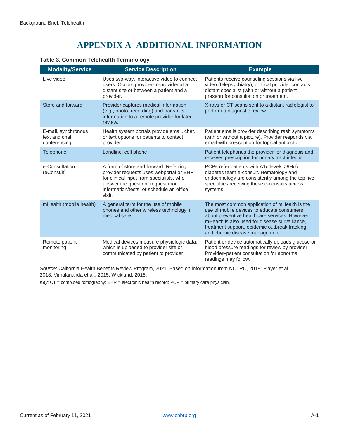# **APPENDIX A ADDITIONAL INFORMATION**

| <b>Modality/Service</b>                              | <b>Service Description</b>                                                                                                                                                                                               | <b>Example</b>                                                                                                                                                                                                                                                                      |
|------------------------------------------------------|--------------------------------------------------------------------------------------------------------------------------------------------------------------------------------------------------------------------------|-------------------------------------------------------------------------------------------------------------------------------------------------------------------------------------------------------------------------------------------------------------------------------------|
| Live video                                           | Uses two-way, interactive video to connect<br>users. Occurs provider-to-provider at a<br>distant site or between a patient and a<br>provider.                                                                            | Patients receive counseling sessions via live<br>video (telepsychiatry); or local provider contacts<br>distant specialist (with or without a patient<br>present) for consultation or treatment.                                                                                     |
| Store and forward                                    | Provider captures medical information<br>(e.g., photo, recording) and transmits<br>information to a remote provider for later<br>review.                                                                                 | X-rays or CT scans sent to a distant radiologist to<br>perform a diagnostic review.                                                                                                                                                                                                 |
| E-mail, synchronous<br>text and chat<br>conferencing | Health system portals provide email, chat,<br>or text options for patients to contact<br>provider.                                                                                                                       | Patient emails provider describing rash symptoms<br>(with or without a picture). Provider responds via<br>email with prescription for topical antibiotic.                                                                                                                           |
| Telephone                                            | Landline, cell phone                                                                                                                                                                                                     | Patient telephones the provider for diagnosis and<br>receives prescription for urinary tract infection.                                                                                                                                                                             |
| e-Consultation<br>(eConsult)                         | A form of store and forward: Referring<br>provider requests uses webportal or EHR<br>for clinical input from specialists, who<br>answer the question, request more<br>information/tests, or schedule an office<br>visit. | PCPs refer patients with A1c levels >9% for<br>diabetes team e-consult. Hematology and<br>endocrinology are consistently among the top five<br>specialties receiving these e-consults across<br>systems.                                                                            |
| mHealth (mobile health)                              | A general term for the use of mobile<br>phones and other wireless technology in<br>medical care.                                                                                                                         | The most common application of mHealth is the<br>use of mobile devices to educate consumers<br>about preventive healthcare services. However,<br>mHealth is also used for disease surveillance,<br>treatment support, epidemic outbreak tracking<br>and chronic disease management. |
| Remote patient<br>monitoring                         | Medical devices measure physiologic data,<br>which is uploaded to provider site or<br>communicated by patient to provider.                                                                                               | Patient or device automatically uploads glucose or<br>blood pressure readings for review by provider.<br>Provider-patient consultation for abnormal<br>readings may follow.                                                                                                         |

#### **Table 3. Common Telehealth Terminology**

*Source:* California Health Benefits Review Program, 2021. Based on information from NCTRC, 2018; Player et al., 2018; Vimalananda et al., 2015; Wicklund, 2018.

*Key*: CT = computed tomography; EHR = electronic health record; PCP = primary care physician.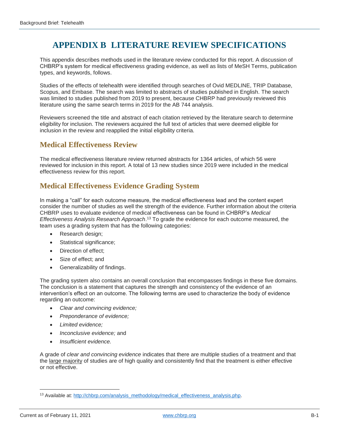# **APPENDIX B LITERATURE REVIEW SPECIFICATIONS**

This appendix describes methods used in the literature review conducted for this report. A discussion of CHBRP's system for medical effectiveness grading evidence, as well as lists of MeSH Terms, publication types, and keywords, follows.

Studies of the effects of telehealth were identified through searches of Ovid MEDLINE, TRIP Database, Scopus, and Embase. The search was limited to abstracts of studies published in English. The search was limited to studies published from 2019 to present, because CHBRP had previously reviewed this literature using the same search terms in 2019 for the AB 744 analysis.

Reviewers screened the title and abstract of each citation retrieved by the literature search to determine eligibility for inclusion. The reviewers acquired the full text of articles that were deemed eligible for inclusion in the review and reapplied the initial eligibility criteria.

### **Medical Effectiveness Review**

The medical effectiveness literature review returned abstracts for 1364 articles, of which 56 were reviewed for inclusion in this report. A total of 13 new studies since 2019 were included in the medical effectiveness review for this report.

# **Medical Effectiveness Evidence Grading System**

In making a "call" for each outcome measure, the medical effectiveness lead and the content expert consider the number of studies as well the strength of the evidence. Further information about the criteria CHBRP uses to evaluate evidence of medical effectiveness can be found in CHBRP's *Medical Effectiveness Analysis Research Approach*. <sup>13</sup> To grade the evidence for each outcome measured, the team uses a grading system that has the following categories:

- Research design;
- Statistical significance;
- Direction of effect:
- Size of effect; and
- Generalizability of findings.

The grading system also contains an overall conclusion that encompasses findings in these five domains. The conclusion is a statement that captures the strength and consistency of the evidence of an intervention's effect on an outcome. The following terms are used to characterize the body of evidence regarding an outcome:

- *Clear and convincing evidence;*
- *Preponderance of evidence;*
- *Limited evidence;*
- *Inconclusive evidence;* and
- *Insufficient evidence.*

A grade of *clear and convincing evidence* indicates that there are multiple studies of a treatment and that the large majority of studies are of high quality and consistently find that the treatment is either effective or not effective.

<sup>&</sup>lt;sup>13</sup> Available at[: http://chbrp.com/analysis\\_methodology/medical\\_effectiveness\\_analysis.php.](http://chbrp.com/analysis_methodology/medical_effectiveness_analysis.php)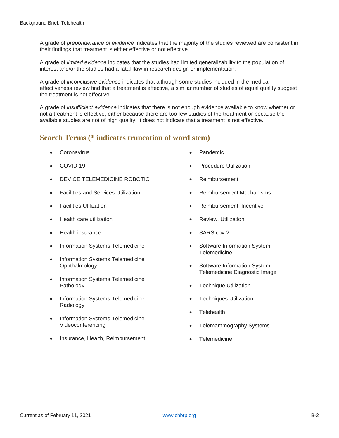A grade of *preponderance of evidence* indicates that the majority of the studies reviewed are consistent in their findings that treatment is either effective or not effective.

A grade of *limited evidence* indicates that the studies had limited generalizability to the population of interest and/or the studies had a fatal flaw in research design or implementation.

A grade of *inconclusive evidence* indicates that although some studies included in the medical effectiveness review find that a treatment is effective, a similar number of studies of equal quality suggest the treatment is not effective.

A grade of *insufficient evidence* indicates that there is not enough evidence available to know whether or not a treatment is effective, either because there are too few studies of the treatment or because the available studies are not of high quality. It does not indicate that a treatment is not effective.

### **Search Terms (\* indicates truncation of word stem)**

- **Coronavirus**
- COVID-19
- DEVICE TELEMEDICINE ROBOTIC
- Facilities and Services Utilization
- Facilities Utilization
- Health care utilization
- Health insurance
- Information Systems Telemedicine
- Information Systems Telemedicine Ophthalmology
- Information Systems Telemedicine Pathology
- Information Systems Telemedicine Radiology
- Information Systems Telemedicine Videoconferencing
- Insurance, Health, Reimbursement
- Pandemic
- Procedure Utilization
- Reimbursement
- Reimbursement Mechanisms
- Reimbursement, Incentive
- Review, Utilization
- SARS cov-2
- Software Information System **Telemedicine**
- Software Information System Telemedicine Diagnostic Image
- Technique Utilization
- Techniques Utilization
- **Telehealth**
- Telemammography Systems
- **Telemedicine**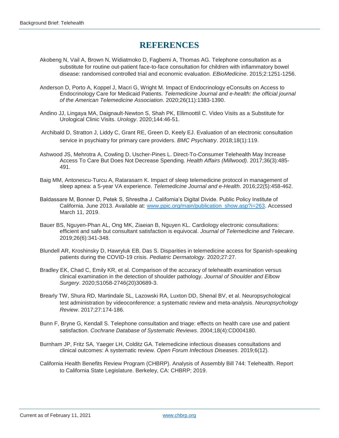# **REFERENCES**

- Akobeng N, Vail A, Brown N, Widiatmoko D, Fagbemi A, Thomas AG. Telephone consultation as a substitute for routine out-patient face-to-face consultation for children with inflammatory bowel disease: randomised controlled trial and economic evaluation. *EBioMedicine*. 2015;2:1251-1256.
- Anderson D, Porto A, Koppel J, Macri G, Wright M. Impact of Endocrinology eConsults on Access to Endocrinology Care for Medicaid Patients. *Telemedicine Journal and e-health: the official journal of the American Telemedicine Association*. 2020;26(11):1383-1390.
- Andino JJ, Lingaya MA, Daignault-Newton S, Shah PK, Ellimoottil C. Video Visits as a Substitute for Urological Clinic Visits. *Urology*. 2020;144:46-51.
- Archibald D, Stratton J, Liddy C, Grant RE, Green D, Keely EJ. Evaluation of an electronic consultation service in psychiatry for primary care providers. *BMC Psychiatry*. 2018;18(1):119.
- Ashwood JS, Mehrotra A, Cowling D, Uscher-Pines L. Direct-To-Consumer Telehealth May Increase Access To Care But Does Not Decrease Spending. *Health Affairs (Millwood)*. 2017;36(3):485- 491.
- Baig MM, Antonescu-Turcu A, Ratarasarn K. Impact of sleep telemedicine protocol in management of sleep apnea: a 5-year VA experience. *Telemedicine Journal and e-Health*. 2016;22(5):458-462.
- Baldassare M, Bonner D, Petek S, Shrestha J. California's Digital Divide. Public Policy Institute of California. June 2013. Available at: [www.ppic.org/main/publication\\_show.asp?i=263.](http://www.ppic.org/main/publication_show.asp?i=263) Accessed March 11, 2019.
- Bauer BS, Nguyen-Phan AL, Ong MK, Ziaeian B, Nguyen KL. Cardiology electronic consultations: efficient and safe but consultant satisfaction is equivocal. *Journal of Telemedicine and Telecare*. 2019;26(6):341-348.
- Blundell AR, Kroshinsky D, Hawryluk EB, Das S. Disparities in telemedicine access for Spanish-speaking patients during the COVID-19 crisis. *Pediatric Dermatology*. 2020;27:27.
- Bradley EK, Chad C, Emily KR, et al. Comparison of the accuracy of telehealth examination versus clinical examination in the detection of shoulder pathology. *Journal of Shoulder and Elbow Surgery*. 2020;S1058-2746(20)30689-3.
- Brearly TW, Shura RD, Martindale SL, Lazowski RA, Luxton DD, Shenal BV, et al. Neuropsychological test administration by videoconference: a systematic review and meta-analysis. *Neuropsychology Review*. 2017;27:174-186.
- Bunn F, Bryne G, Kendall S. Telephone consultation and triage: effects on health care use and patient satisfaction. *Cochrane Database of Systematic Reviews*. 2004;18(4):CD004180.
- Burnham JP, Fritz SA, Yaeger LH, Colditz GA. Telemedicine infectious diseases consultations and clinical outcomes: A systematic review. *Open Forum Infectious Diseases*. 2019;6(12).
- California Health Benefits Review Program (CHBRP). Analysis of Assembly Bill 744: Telehealth. Report to California State Legislature. Berkeley, CA: CHBRP; 2019.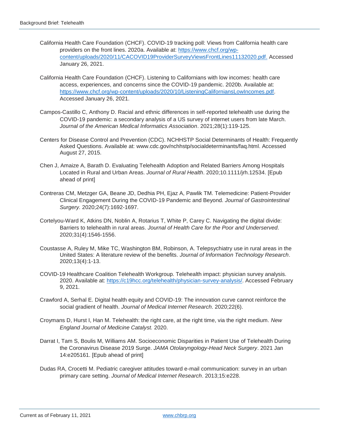- California Health Care Foundation (CHCF). COVID-19 tracking poll: Views from California health care providers on the front lines. 2020a. Available at: [https://www.chcf.org/wp](https://www.chcf.org/wp-content/uploads/2020/11/CACOVID19ProviderSurveyViewsFrontLines11132020.pdf)[content/uploads/2020/11/CACOVID19ProviderSurveyViewsFrontLines11132020.pdf.](https://www.chcf.org/wp-content/uploads/2020/11/CACOVID19ProviderSurveyViewsFrontLines11132020.pdf) Accessed January 26, 2021.
- California Health Care Foundation (CHCF). Listening to Californians with low incomes: health care access, experiences, and concerns since the COVID-19 pandemic. 2020b. Available at: [https://www.chcf.org/wp-content/uploads/2020/10/ListeningCaliforniansLowIncomes.pdf.](https://www.chcf.org/wp-content/uploads/2020/10/ListeningCaliforniansLowIncomes.pdf) Accessed January 26, 2021.
- Campos-Castillo C, Anthony D. Racial and ethnic differences in self-reported telehealth use during the COVID-19 pandemic: a secondary analysis of a US survey of internet users from late March. *Journal of the American Medical Informatics Association*. 2021;28(1):119-125.
- Centers for Disease Control and Prevention (CDC). NCHHSTP Social Determinants of Health: Frequently Asked Questions. Available at: [www.cdc.gov/nchhstp/socialdeterminants/faq.html.](file:///C:/Users/adara.citron/AppData/Local/Box/Box%20Edit/Documents/G2W5w7E+sEa1qOHmAYqHmg==/www.cdc.gov/nchhstp/socialdeterminants/faq.html) Accessed August 27, 2015.
- Chen J, Amaize A, Barath D. Evaluating Telehealth Adoption and Related Barriers Among Hospitals Located in Rural and Urban Areas. *Journal of Rural Health*. 2020;10.1111/jrh.12534. [Epub ahead of print]
- Contreras CM, Metzger GA, Beane JD, Dedhia PH, Ejaz A, Pawlik TM. Telemedicine: Patient-Provider Clinical Engagement During the COVID-19 Pandemic and Beyond. *Journal of Gastrointestinal Surgery.* 2020;24(7):1692-1697.
- Cortelyou-Ward K, Atkins DN, Noblin A, Rotarius T, White P, Carey C. Navigating the digital divide: Barriers to telehealth in rural areas. *Journal of Health Care for the Poor and Underserved*. 2020;31(4):1546-1556.
- Coustasse A, Ruley M, Mike TC, Washington BM, Robinson, A. Telepsychiatry use in rural areas in the United States: A literature review of the benefits. *Journal of Information Technology Research*. 2020;13(4):1-13.
- COVID-19 Healthcare Coalition Telehealth Workgroup. Telehealth impact: physician survey analysis. 2020. Available at: [https://c19hcc.org/telehealth/physician-survey-analysis/.](https://c19hcc.org/telehealth/physician-survey-analysis/) Accessed February 9, 2021.
- Crawford A, Serhal E. Digital health equity and COVID-19: The innovation curve cannot reinforce the social gradient of health. *Journal of Medical Internet Research*. 2020;22(6).
- Croymans D, Hurst I, Han M. Telehealth: the right care, at the right time, via the right medium. *New England Journal of Medicine Catalyst.* 2020.
- Darrat I, Tam S, Boulis M, Williams AM. Socioeconomic Disparities in Patient Use of Telehealth During the Coronavirus Disease 2019 Surge. *JAMA Otolaryngology-Head Neck Surgery*. 2021 Jan 14:e205161. [Epub ahead of print]
- Dudas RA, Crocetti M. Pediatric caregiver attitudes toward e-mail communication: survey in an urban primary care setting. *Journal of Medical Internet Research*. 2013;15:e228.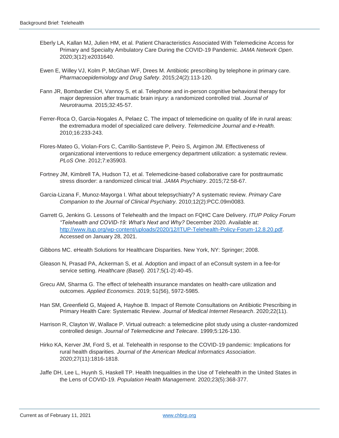- Eberly LA, Kallan MJ, Julien HM, et al. Patient Characteristics Associated With Telemedicine Access for Primary and Specialty Ambulatory Care During the COVID-19 Pandemic. *JAMA Network Open*. 2020;3(12):e2031640.
- Ewen E, Willey VJ, Kolm P, McGhan WF, Drees M. Antibiotic prescribing by telephone in primary care. *Pharmacoepidemiology and Drug Safety*. 2015;24(2):113-120.
- Fann JR, Bombardier CH, Vannoy S, et al. Telephone and in-person cognitive behavioral therapy for major depression after traumatic brain injury: a randomized controlled trial. *Journal of Neurotrauma.* 2015;32:45-57.
- Ferrer-Roca O, Garcia-Nogales A, Pelaez C. The impact of telemedicine on quality of life in rural areas: the extremadura model of specialized care delivery. *Telemedicine Journal and e-Health.* 2010;16:233-243.
- Flores-Mateo G, Violan-Fors C, Carrillo-Santisteve P, Peiro S, Argimon JM. Effectiveness of organizational interventions to reduce emergency department utilization: a systematic review. *PLoS One*. 2012;7:e35903.
- Fortney JM, Kimbrell TA, Hudson TJ, et al. Telemedicine-based collaborative care for posttraumatic stress disorder: a randomized clinical trial. *JAMA Psychiatry*. 2015;72:58-67.
- Garcia-Lizana F, Munoz-Mayorga I. What about telepsychiatry? A systematic review. *Primary Care Companion to the Journal of Clinical Psychiatry.* 2010;12(2):PCC.09m0083.
- Garrett G, Jenkins G. Lessons of Telehealth and the Impact on FQHC Care Delivery. *ITUP Policy Forum "Telehealth and COVID-19: What's Next and Why?* December 2020. Available at: [http://www.itup.org/wp-content/uploads/2020/12/ITUP-Telehealth-Policy-Forum-12.8.20.pdf.](http://www.itup.org/wp-content/uploads/2020/12/ITUP-Telehealth-Policy-Forum-12.8.20.pdf) Accessed on January 28, 2021.

Gibbons MC. eHealth Solutions for Healthcare Disparities. New York, NY: Springer; 2008.

- Gleason N, Prasad PA, Ackerman S, et al. Adoption and impact of an eConsult system in a fee-for service setting. *Healthcare (Basel).* 2017;5(1-2):40-45.
- Grecu AM, Sharma G. The effect of telehealth insurance mandates on health-care utilization and outcomes. *Applied Economics*. 2019; 51(56), 5972-5985.
- Han SM, Greenfield G, Majeed A, Hayhoe B. Impact of Remote Consultations on Antibiotic Prescribing in Primary Health Care: Systematic Review. *Journal of Medical Internet Research*. 2020;22(11).
- Harrison R, Clayton W, Wallace P. Virtual outreach: a telemedicine pilot study using a cluster-randomized controlled design. *Journal of Telemedicine and Telecare*. 1999;5:126-130.
- Hirko KA, Kerver JM, Ford S, et al. Telehealth in response to the COVID-19 pandemic: Implications for rural health disparities. *Journal of the American Medical Informatics Association*. 2020;27(11):1816-1818.
- Jaffe DH, Lee L, Huynh S, Haskell TP. Health Inequalities in the Use of Telehealth in the United States in the Lens of COVID-19. *Population Health Management*. 2020;23(5):368-377.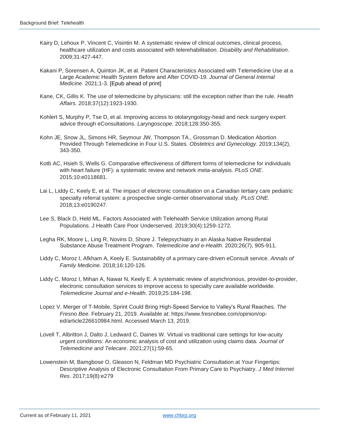- Kairy D, Lehoux P, Vincent C, Visintin M. A systematic review of clinical outcomes, clinical process, healthcare utilization and costs associated with telerehabilitation. *Disability and Rehabilitation*. 2009;31:427-447.
- Kakani P, Sorensen A, Quinton JK, et al. Patient Characteristics Associated with Telemedicine Use at a Large Academic Health System Before and After COVID-19. *Journal of General Internal Medicine*. 2021;1-3. [Epub ahead of print]
- Kane, CK, Gillis K. The use of telemedicine by physicians: still the exception rather than the rule. *Health Affairs.* 2018:37(12):1923-1930.
- Kohlert S, Murphy P, Tse D, et al. Improving access to otolaryngology-head and neck surgery expert advice through eConsultations. *Laryngoscope.* 2018;128:350-355.
- Kohn JE, Snow JL, Simons HR, Seymour JW, Thompson TA., Grossman D. Medication Abortion Provided Through Telemedicine in Four U.S. States. *Obstetrics and Gynecology*. 2019;134(2), 343-350.
- Kotb AC, Hsieh S, Wells G. Comparative effectiveness of different forms of telemedicine for individuals with heart failure (HF): a systematic review and network meta-analysis. *PLoS ONE*. 2015;10:e0118681.
- Lai L, Liddy C, Keely E, et al. The impact of electronic consultation on a Canadian tertiary care pediatric specialty referral system: a prospective single-center observational study. *PLoS ONE*. 2018;13:e0190247.
- Lee S, Black D, Held ML. Factors Associated with Telehealth Service Utilization among Rural Populations. J Health Care Poor Underserved. 2019;30(4):1259-1272.
- Legha RK, Moore L, Ling R, Novins D, Shore J. Telepsychiatry in an Alaska Native Residential Substance Abuse Treatment Program. *Telemedicine and e-Health*. 2020;26(7), 905-911.
- Liddy C, Moroz I, Afkham A, Keely E. Sustainability of a primary care-driven eConsult service. *Annals of Family Medicine.* 2018;16:120-126.
- Liddy C, Moroz I, Mihan A, Nawar N, Keely E. A systematic review of asynchronous, provider-to-provider, electronic consultation services to improve access to specialty care available worldwide. *Telemedicine Journal and e-Health*. 2019;25:184-198.
- Lopez V. Merger of T-Mobile, Sprint Could Bring High-Speed Service to Valley's Rural Reaches. *The Fresno Bee*. February 21, 2019. Available at: https://www.fresnobee.com/opinion/oped/article226610984.html. Accessed March 13, 2019.
- Lovell T, Albritton J, Dalto J, Ledward C, Daines W. Virtual vs traditional care settings for low-acuity urgent conditions: An economic analysis of cost and utilization using claims data. *Journal of Telemedicine and Telecare*. 2021;27(1):59-65.
- Lowenstein M, Bamgbose O, Gleason N, Feldman MD Psychiatric Consultation at Your Fingertips: Descriptive Analysis of Electronic Consultation From Primary Care to Psychiatry. *J Med Internet Res*. 2017;19(8):e279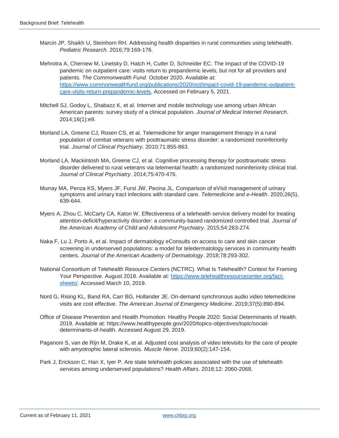- Marcin JP, Shaikh U, Steinhorn RH. Addressing health disparities in rural communities using telehealth. *Pediatric Research*. 2016;79:169-176.
- Mehrotra A, Chernew M, Linetsky D, Hatch H, Cutler D, Schneider EC. The impact of the COVID-19 pandemic on outpatient care: visits return to prepandemic levels, but not for all providers and patients. *The Commonwealth Fund.* October 2020. Available at: [https://www.commonwealthfund.org/publications/2020/oct/impact-covid-19-pandemic-outpatient](https://www.commonwealthfund.org/publications/2020/oct/impact-covid-19-pandemic-outpatient-care-visits-return-prepandemic-levels)[care-visits-return-prepandemic-levels,](https://www.commonwealthfund.org/publications/2020/oct/impact-covid-19-pandemic-outpatient-care-visits-return-prepandemic-levels) Accessed on February 5, 2021.
- Mitchell SJ, Godoy L, Shabazz K, et al. Internet and mobile technology use among urban African American parents: survey study of a clinical population. *Journal of Medical Internet Research*. 2014;16(1):e9.
- Morland LA, Greene CJ, Rosen CS, et al. Telemedicine for anger management therapy in a rural population of combat veterans with posttraumatic stress disorder: a randomized noninferiority trial. *Journal of Clinical Psychiatry*. 2010;71:855-863.
- Morland LA, Mackintosh MA, Greene CJ, et al. Cognitive processing therapy for posttraumatic stress disorder delivered to rural veterans via telemental health: a randomized noninferiority clinical trial. *Journal of Clinical Psychiatry*. 2014;75:470-476.
- Murray MA, Penza KS, Myers JF, Furst JW, Pecina JL. Comparison of eVisit management of urinary symptoms and urinary tract infections with standard care. *Telemedicine and e-Health*. 2020;26(5), 639-644.
- Myers A, Zhou C, McCarty CA, Katon W. Effectiveness of a telehealth service delivery model for treating attention-deficit/hyperactivity disorder: a community-based randomized controlled trial. *Journal of the American Academy of Child and Adolescent Psychiatry*. 2015;54:263-274.
- Naka F, Lu J, Porto A, et al. Impact of dermatology eConsults on access to care and skin cancer screening in underserved populations: a model for teledermatology services in community health centers. *Journal of the American Academy of Dermatology*. 2018;78:293-302.
- National Consortium of Telehealth Resource Centers (NCTRC). What Is Telehealth? Context for Framing Your Perspective. August 2018. Available at: [https://www.telehealthresourcecenter.org/fact](https://www.telehealthresourcecenter.org/fact-sheets/)[sheets/.](https://www.telehealthresourcecenter.org/fact-sheets/) Accessed March 10, 2019.
- Nord G, Rising KL, Band RA, Carr BG, Hollander JE. On-demand synchronous audio video telemedicine visits are cost effective. *The American Journal of Emergency Medicine*. 2019;37(5):890-894.
- Office of Disease Prevention and Health Promotion. Healthy People 2020: Social Determinants of Health. 2019. Available at: https:/[/www.healthypeople.gov/2020/topics-objectives/topic/social](file:///C:/Users/adara.citron/AppData/Local/Box/Box%20Edit/Documents/G2W5w7E+sEa1qOHmAYqHmg==/www.healthypeople.gov/2020/topics-objectives/topic/social-determinants-of-health)[determinants-of-health.](file:///C:/Users/adara.citron/AppData/Local/Box/Box%20Edit/Documents/G2W5w7E+sEa1qOHmAYqHmg==/www.healthypeople.gov/2020/topics-objectives/topic/social-determinants-of-health) Accessed August 29, 2019.
- Paganoni S, van de Rijn M, Drake K, et al. Adjusted cost analysis of video televisits for the care of people with amyotrophic lateral sclerosis. *Muscle Nerve*. 2019;60(2):147-154.
- Park J, Erickson C, Han X, Iyer P. Are state telehealth policies associated with the use of telehealth services among underserved populations? *Health Affairs*. 2018;12: 2060-2068.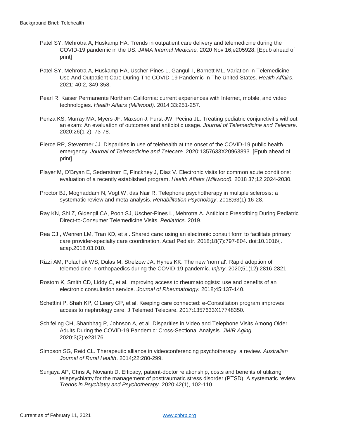- Patel SY, Mehrotra A, Huskamp HA. Trends in outpatient care delivery and telemedicine during the COVID-19 pandemic in the US. *JAMA Internal Medicine.* 2020 Nov 16;e205928. [Epub ahead of print]
- Patel SY, Mehrotra A, Huskamp HA, Uscher-Pines L, Ganguli I, Barnett ML. Variation In Telemedicine Use And Outpatient Care During The COVID-19 Pandemic In The United States. *Health Affairs*. 2021; 40:2, 349-358.
- Pearl R. Kaiser Permanente Northern California: current experiences with Internet, mobile, and video technologies. *Health Affairs (Millwood).* 2014;33:251-257.
- Penza KS, Murray MA, Myers JF, Maxson J, Furst JW, Pecina JL. Treating pediatric conjunctivitis without an exam: An evaluation of outcomes and antibiotic usage. *Journal of Telemedicine and Telecare*. 2020;26(1-2), 73-78.
- Pierce RP, Stevermer JJ. Disparities in use of telehealth at the onset of the COVID-19 public health emergency. *Journal of Telemedicine and Telecare*. 2020;1357633X20963893. [Epub ahead of print]
- Player M, O'Bryan E, Sederstrom E, Pinckney J, Diaz V. [Electronic visits for common acute conditions:](https://www.healthaffairs.org/doi/abs/10.1377/hlthaff.2018.05122)  [evaluation of a recently established program.](https://www.healthaffairs.org/doi/abs/10.1377/hlthaff.2018.05122) *Health Affairs (Millwood).* 2018 37;12:2024-2030.
- Proctor BJ, Moghaddam N, Vogt W, das Nair R. Telephone psychotherapy in multiple sclerosis: a systematic review and meta-analysis. *Rehabilitation Psychology*. 2018;63(1):16-28.
- Ray KN, Shi Z, Gidengil CA, Poon SJ, Uscher-Pines L, Mehrotra A. Antibiotic Prescribing During Pediatric Direct-to-Consumer Telemedicine Visits. *Pediatrics*. 2019.
- Rea CJ , Wenren LM, Tran KD, et al. Shared care: using an electronic consult form to facilitate primary care provider-specialty care coordination. Acad Pediatr. 2018;18(7):797-804. doi:10.1016/j. acap.2018.03.010.
- Rizzi AM, Polachek WS, Dulas M, Strelzow JA, Hynes KK. The new 'normal': Rapid adoption of telemedicine in orthopaedics during the COVID-19 pandemic. *Injury*. 2020;51(12):2816-2821.
- Rostom K, Smith CD, Liddy C, et al. Improving access to rheumatologists: use and benefits of an electronic consultation service. *Journal of Rheumatology.* 2018;45:137-140.
- Schettini P, Shah KP, O'Leary CP, et al. Keeping care connected: e-Consultation program improves access to nephrology care. J Telemed Telecare. 2017:1357633X17748350.
- Schifeling CH, Shanbhag P, Johnson A, et al. Disparities in Video and Telephone Visits Among Older Adults During the COVID-19 Pandemic: Cross-Sectional Analysis. *JMIR Aging*. 2020;3(2):e23176.
- Simpson SG, Reid CL. Therapeutic alliance in videoconferencing psychotherapy: a review. *Australian Journal of Rural Health*. 2014;22:280-299.
- Sunjaya AP, Chris A, Novianti D. Efficacy, patient-doctor relationship, costs and benefits of utilizing telepsychiatry for the management of posttraumatic stress disorder (PTSD): A systematic review. *Trends in Psychiatry and Psychotherapy*. 2020;42(1), 102-110.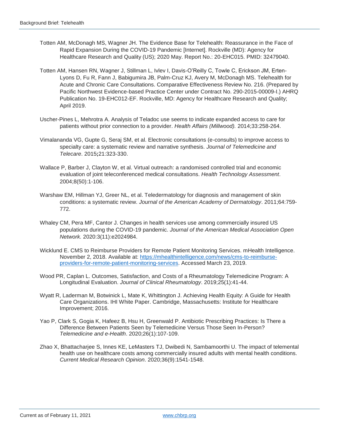- Totten AM, McDonagh MS, Wagner JH. The Evidence Base for Telehealth: Reassurance in the Face of Rapid Expansion During the COVID-19 Pandemic [Internet]. Rockville (MD): Agency for Healthcare Research and Quality (US); 2020 May. Report No.: 20-EHC015. PMID: 32479040.
- Totten AM, Hansen RN, Wagner J, Stillman L, Ivlev I, Davis-O'Reilly C, Towle C, Erickson JM, Erten-Lyons D, Fu R, Fann J, Babigumira JB, Palm-Cruz KJ, Avery M, McDonagh MS. Telehealth for Acute and Chronic Care Consultations. Comparative Effectiveness Review No. 216. (Prepared by Pacific Northwest Evidence-based Practice Center under Contract No. 290-2015-00009-I.) AHRQ Publication No. 19-EHC012-EF. Rockville, MD: Agency for Healthcare Research and Quality; April 2019.
- Uscher-Pines L, Mehrotra A. Analysis of Teladoc use seems to indicate expanded access to care for patients without prior connection to a provider. *Health Affairs (Millwood).* 2014;33:258-264.
- Vimalananda VG, Gupte G, Seraj SM, et al. Electronic consultations (e-consults) to improve access to specialty care: a systematic review and narrative synthesis. *Journal of Telemedicine and Telecare*. 2015**;**21:323-330.
- Wallace P, Barber J, Clayton W, et al. Virtual outreach: a randomised controlled trial and economic evaluation of joint teleconferenced medical consultations. *Health Technology Assessment*. 2004;8(50):1-106.
- Warshaw EM, Hillman YJ, Greer NL, et al. Teledermatology for diagnosis and management of skin conditions: a systematic review. *Journal of the American Academy of Dermatology*. 2011;64:759- 772.
- Whaley CM, Pera MF, Cantor J. Changes in health services use among commercially insured US populations during the COVID-19 pandemic. *Journal of the American Medical Association Open Network.* 2020:3(11):e2024984.
- Wicklund E. CMS to Reimburse Providers for Remote Patient Monitoring Services. mHealth Intelligence. November 2, 2018. Available at: [https://mhealthintelligence.com/news/cms-to-reimburse](https://mhealthintelligence.com/news/cms-to-reimburse-providers-for-remote-patient-monitoring-services)[providers-for-remote-patient-monitoring-services.](https://mhealthintelligence.com/news/cms-to-reimburse-providers-for-remote-patient-monitoring-services) Accessed March 23, 2019.
- Wood PR, Caplan L. Outcomes, Satisfaction, and Costs of a Rheumatology Telemedicine Program: A Longitudinal Evaluation. *Journal of Clinical Rheumatology*. 2019;25(1):41-44.
- Wyatt R, Laderman M, Botwinick L, Mate K, Whittington J. Achieving Health Equity: A Guide for Health Care Organizations. IHI White Paper. Cambridge, Massachusetts: Institute for Healthcare Improvement; 2016.
- Yao P, Clark S, Gogia K, Hafeez B, Hsu H, Greenwald P. Antibiotic Prescribing Practices: Is There a Difference Between Patients Seen by Telemedicine Versus Those Seen In-Person? *Telemedicine and e-Health*. 2020;26(1):107-109.
- Zhao X, Bhattacharjee S, Innes KE, LeMasters TJ, Dwibedi N, Sambamoorthi U. The impact of telemental health use on healthcare costs among commercially insured adults with mental health conditions. *Current Medical Research Opinion*. 2020;36(9):1541-1548.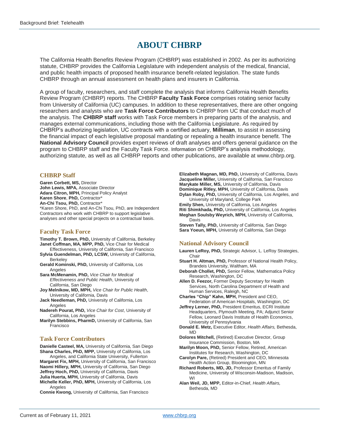# **ABOUT CHBRP**

The California Health Benefits Review Program (CHBRP) was established in 2002. As per its authorizing statute, CHBRP provides the California Legislature with independent analysis of the medical, financial, and public health impacts of proposed health insurance benefit-related legislation. The state funds CHBRP through an annual assessment on health plans and insurers in California.

A group of faculty, researchers, and staff complete the analysis that informs California Health Benefits Review Program (CHBRP) reports. The CHBRP **Faculty Task Force** comprises rotating senior faculty from University of California (UC) campuses. In addition to these representatives, there are other ongoing researchers and analysts who are **Task Force Contributors** to CHBRP from UC that conduct much of the analysis. The **CHBRP staff** works with Task Force members in preparing parts of the analysis, and manages external communications, including those with the California Legislature. As required by CHBRP's authorizing legislation, UC contracts with a certified actuary, **Milliman**, to assist in assessing the financial impact of each legislative proposal mandating or repealing a health insurance benefit. The **National Advisory Council** provides expert reviews of draft analyses and offers general guidance on the program to CHBRP staff and the Faculty Task Force. Information on CHBRP's analysis methodology, authorizing statute, as well as all CHBRP reports and other publications, are available at www.chbrp.org.

#### **CHBRP Staff**

**Garen Corbett, MS,** Director **John Lewis, MPA,** Associate Director **Adara Citron, MPH,** Principal Policy Analyst **Karen Shore**, **PhD,** Contractor\* **An-Chi Tsou, PhD,** Contractor\* \*Karen Shore, PhD, and An-Chi Tsou, PhD, are Independent Contractors who work with CHBRP to support legislative analyses and other special projects on a contractual basis.

#### **Faculty Task Force**

**Timothy T. Brown, PhD,** University of California, Berkeley **Janet Coffman, MA, MPP, PhD,** Vice Chair for Medical

- Effectiveness, University of California, San Francisco **Sylvia Guendelman, PhD, LCSW,** University of California, **Berkeley**
- **Gerald Kominski, PhD,** University of California, Los Angeles

**Sara McMenamin, PhD,** *Vice Chair for Medical Effectiveness and Public Health*, University of California, San Diego

**Joy Melnikow, MD, MPH,** *Vice Chair for Public Health*, University of California, Davis

**Jack Needleman, PhD,** University of California, Los **Angeles** 

**Nadereh Pourat, PhD,** *Vice Chair for Cost*, University of California, Los Angeles

**Marilyn Stebbins, PharmD,** University of California, San Francisco

#### **Task Force Contributors**

**Danielle Casteel, MA,** University of California, San Diego **Shana Charles, PhD, MPP,** University of California, Los Angeles, and California State University, Fullerton

**Margaret Fix, MPH,** University of California, San Francisco **Naomi Hillery, MPH,** University of California, San Diego **Jeffrey Hoch, PhD,** University of California, Davis **Julia Huerta, MPH,** University of California, Davis **Michelle Keller, PhD, MPH,** University of California, Los Angeles

**Connie Kwong,** University of California, San Francisco

**Elizabeth Magnan, MD, PhD,** University of California, Davis **Jacqueline Miller,** University of California, San Francisco **Marykate Miller, MS,** University of California, Davis **Dominique Ritley, MPH,** University of California, Davis **Dylan Roby, PhD,** University of California, Los Angeles, and

University of Maryland, College Park **Emily Shen,** University of California, Los Angeles **Riti Shimkhada, PhD,** University of California, Los Angeles **Meghan Soulsby Weyrich, MPH,** University of California, Davis

**Steven Tally, PhD,** University of California, San Diego **Sara Yoeun, MPH,** University of California, San Diego

#### **National Advisory Council**

- **Lauren LeRoy, PhD,** Strategic Advisor, L. LeRoy Strategies, Chair
- **Stuart H. Altman, PhD,** Professor of National Health Policy, Brandeis University, Waltham, MA
- **Deborah Chollet, PhD,** Senior Fellow, Mathematica Policy Research, Washington, DC

**Allen D. Feezor,** Former Deputy Secretary for Health Services, North Carolina Department of Health and Human Services, Raleigh, NC

- **Charles "Chip" Kahn, MPH,** President and CEO, Federation of American Hospitals, Washington, DC
- **Jeffrey Lerner, PhD, President Emeritus, ECRI Institute** Headquarters, Plymouth Meeting, PA; Adjunct Senior Fellow, Leonard Davis Institute of Health Economics, University of Pennsylvania
- **Donald E. Metz,** Executive Editor, *Health Affairs,* Bethesda, MD
- **Dolores Mitchell,** (Retired) Executive Director, Group Insurance Commission, Boston, MA
- **Marilyn Moon, PhD,** Senior Fellow, Retired, American Institutes for Research, Washington, DC
- **Carolyn Pare,** (Retired) President and CEO, Minnesota Health Action Group, Bloomington, MN
- **Richard Roberts, MD, JD,** Professor Emeritus of Family Medicine, University of Wisconsin-Madison, Madison, WI

**Alan Weil, JD, MPP,** Editor-in-Chief, *Health Affairs,* Bethesda, MD